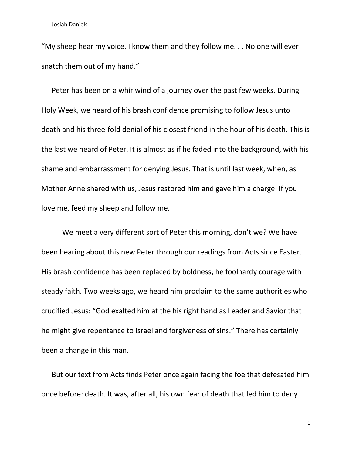"My sheep hear my voice. I know them and they follow me. . . No one will ever snatch them out of my hand."

Peter has been on a whirlwind of a journey over the past few weeks. During Holy Week, we heard of his brash confidence promising to follow Jesus unto death and his three-fold denial of his closest friend in the hour of his death. This is the last we heard of Peter. It is almost as if he faded into the background, with his shame and embarrassment for denying Jesus. That is until last week, when, as Mother Anne shared with us, Jesus restored him and gave him a charge: if you love me, feed my sheep and follow me.

We meet a very different sort of Peter this morning, don't we? We have been hearing about this new Peter through our readings from Acts since Easter. His brash confidence has been replaced by boldness; he foolhardy courage with steady faith. Two weeks ago, we heard him proclaim to the same authorities who crucified Jesus: "God exalted him at the his right hand as Leader and Savior that he might give repentance to Israel and forgiveness of sins." There has certainly been a change in this man.

But our text from Acts finds Peter once again facing the foe that defesated him once before: death. It was, after all, his own fear of death that led him to deny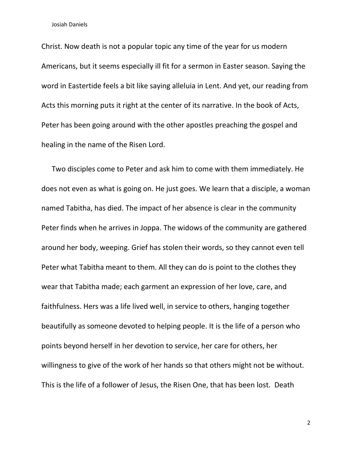Christ. Now death is not a popular topic any time of the year for us modern Americans, but it seems especially ill fit for a sermon in Easter season. Saying the word in Eastertide feels a bit like saying alleluia in Lent. And yet, our reading from Acts this morning puts it right at the center of its narrative. In the book of Acts, Peter has been going around with the other apostles preaching the gospel and healing in the name of the Risen Lord.

Two disciples come to Peter and ask him to come with them immediately. He does not even as what is going on. He just goes. We learn that a disciple, a woman named Tabitha, has died. The impact of her absence is clear in the community Peter finds when he arrives in Joppa. The widows of the community are gathered around her body, weeping. Grief has stolen their words, so they cannot even tell Peter what Tabitha meant to them. All they can do is point to the clothes they wear that Tabitha made; each garment an expression of her love, care, and faithfulness. Hers was a life lived well, in service to others, hanging together beautifully as someone devoted to helping people. It is the life of a person who points beyond herself in her devotion to service, her care for others, her willingness to give of the work of her hands so that others might not be without. This is the life of a follower of Jesus, the Risen One, that has been lost. Death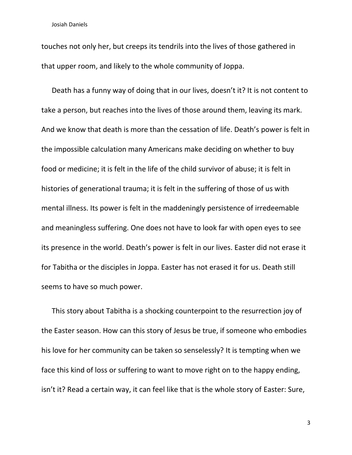touches not only her, but creeps its tendrils into the lives of those gathered in that upper room, and likely to the whole community of Joppa.

Death has a funny way of doing that in our lives, doesn't it? It is not content to take a person, but reaches into the lives of those around them, leaving its mark. And we know that death is more than the cessation of life. Death's power is felt in the impossible calculation many Americans make deciding on whether to buy food or medicine; it is felt in the life of the child survivor of abuse; it is felt in histories of generational trauma; it is felt in the suffering of those of us with mental illness. Its power is felt in the maddeningly persistence of irredeemable and meaningless suffering. One does not have to look far with open eyes to see its presence in the world. Death's power is felt in our lives. Easter did not erase it for Tabitha or the disciples in Joppa. Easter has not erased it for us. Death still seems to have so much power.

This story about Tabitha is a shocking counterpoint to the resurrection joy of the Easter season. How can this story of Jesus be true, if someone who embodies his love for her community can be taken so senselessly? It is tempting when we face this kind of loss or suffering to want to move right on to the happy ending, isn't it? Read a certain way, it can feel like that is the whole story of Easter: Sure,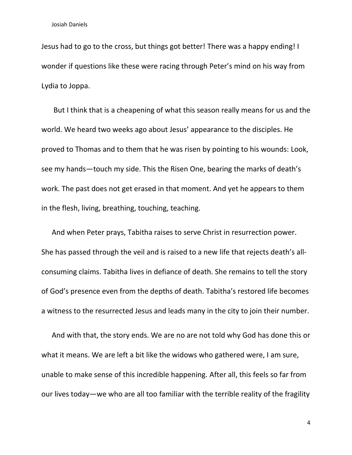Jesus had to go to the cross, but things got better! There was a happy ending! I wonder if questions like these were racing through Peter's mind on his way from Lydia to Joppa.

But I think that is a cheapening of what this season really means for us and the world. We heard two weeks ago about Jesus' appearance to the disciples. He proved to Thomas and to them that he was risen by pointing to his wounds: Look, see my hands—touch my side. This the Risen One, bearing the marks of death's work. The past does not get erased in that moment. And yet he appears to them in the flesh, living, breathing, touching, teaching.

And when Peter prays, Tabitha raises to serve Christ in resurrection power. She has passed through the veil and is raised to a new life that rejects death's allconsuming claims. Tabitha lives in defiance of death. She remains to tell the story of God's presence even from the depths of death. Tabitha's restored life becomes a witness to the resurrected Jesus and leads many in the city to join their number.

And with that, the story ends. We are no are not told why God has done this or what it means. We are left a bit like the widows who gathered were, I am sure, unable to make sense of this incredible happening. After all, this feels so far from our lives today—we who are all too familiar with the terrible reality of the fragility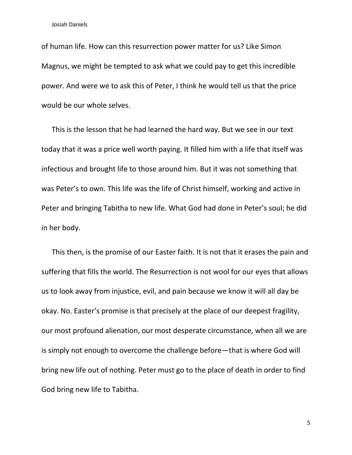of human life. How can this resurrection power matter for us? Like Simon Magnus, we might be tempted to ask what we could pay to get this incredible power. And were we to ask this of Peter, I think he would tell us that the price would be our whole selves.

This is the lesson that he had learned the hard way. But we see in our text today that it was a price well worth paying. It filled him with a life that itself was infectious and brought life to those around him. But it was not something that was Peter's to own. This life was the life of Christ himself, working and active in Peter and bringing Tabitha to new life. What God had done in Peter's soul; he did in her body.

This then, is the promise of our Easter faith. It is not that it erases the pain and suffering that fills the world. The Resurrection is not wool for our eyes that allows us to look away from injustice, evil, and pain because we know it will all day be okay. No. Easter's promise is that precisely at the place of our deepest fragility, our most profound alienation, our most desperate circumstance, when all we are is simply not enough to overcome the challenge before—that is where God will bring new life out of nothing. Peter must go to the place of death in order to find God bring new life to Tabitha.